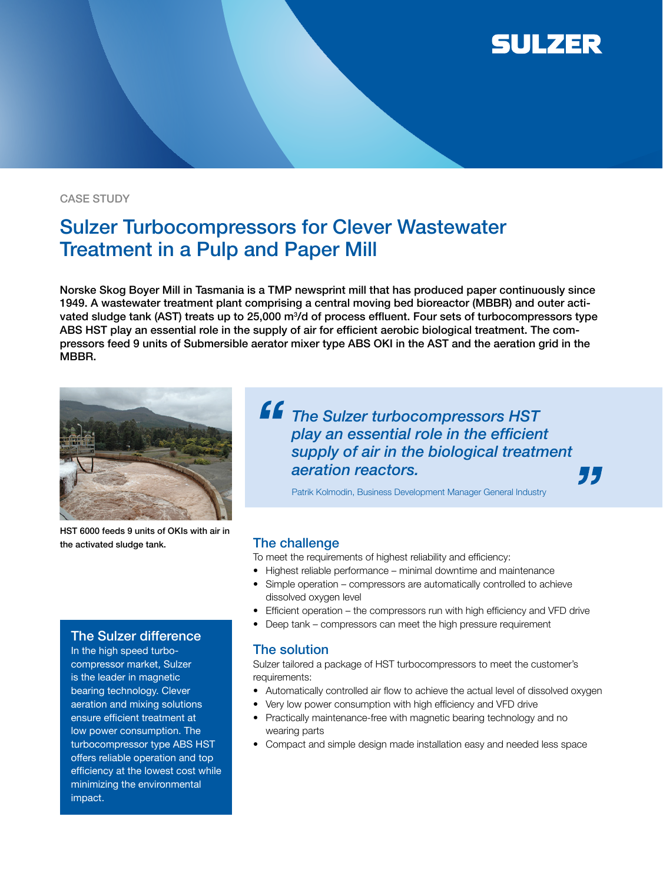

#### CASE STUDY

# Sulzer Turbocompressors for Clever Wastewater Treatment in a Pulp and Paper Mill

Norske Skog Boyer Mill in Tasmania is a TMP newsprint mill that has produced paper continuously since 1949. A wastewater treatment plant comprising a central moving bed bioreactor (MBBR) and outer activated sludge tank (AST) treats up to 25,000 m3 /d of process effluent. Four sets of turbocompressors type ABS HST play an essential role in the supply of air for efficient aerobic biological treatment. The compressors feed 9 units of Submersible aerator mixer type ABS OKI in the AST and the aeration grid in the MBBR.



HST 6000 feeds 9 units of OKIs with air in the activated sludge tank.

# *The Sulzer turbocompressors HST*  play an essential role in the efficient *supply of air in the biological treatment aeration reactors.* "

Patrik Kolmodin, Business Development Manager General Industry

### The challenge

To meet the requirements of highest reliability and efficiency:

- Highest reliable performance minimal downtime and maintenance
- Simple operation compressors are automatically controlled to achieve dissolved oxygen level
- Efficient operation the compressors run with high efficiency and VFD drive
- Deep tank compressors can meet the high pressure requirement

#### The solution

Sulzer tailored a package of HST turbocompressors to meet the customer's requirements:

- Automatically controlled air flow to achieve the actual level of dissolved oxygen
- Very low power consumption with high efficiency and VFD drive
- Practically maintenance-free with magnetic bearing technology and no wearing parts
- Compact and simple design made installation easy and needed less space

## The Sulzer difference

In the high speed turbocompressor market, Sulzer is the leader in magnetic bearing technology. Clever aeration and mixing solutions ensure efficient treatment at low power consumption. The turbocompressor type ABS HST offers reliable operation and top efficiency at the lowest cost while minimizing the environmental impact.